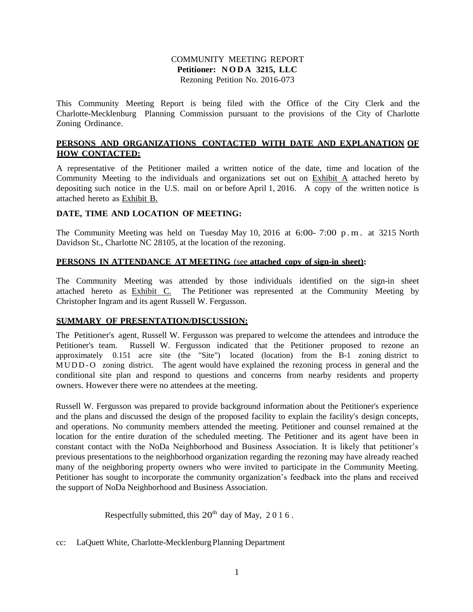## COMMUNITY MEETING REPORT **Petitioner: N O D A 3215, LLC**  Rezoning Petition No. 2016-073

This Community Meeting Report is being filed with the Office of the City Clerk and the Charlotte-Mecklenburg Planning Commission pursuant to the provisions of the City of Charlotte Zoning Ordinance.

## **PERSONS AND ORGANIZATIONS CONTACTED WITH DATE AND EXPLANATION OF HOW CONTACTED:**

A representative of the Petitioner mailed a written notice of the date, time and location of the Community Meeting to the individuals and organizations set out on Exhibit A attached hereto by depositing such notice in the U.S. mail on or before April 1, 2016. A copy of the written notice is attached hereto as Exhibit B.

## **DATE, TIME AND LOCATION OF MEETING:**

The Community Meeting was held on Tuesday May 10, 2016 at 6:00-7:00 p.m. at 3215 North Davidson St., Charlotte NC 28105, at the location of the rezoning.

## **PERSONS IN ATTENDANCE AT MEETING** (see **attached copy of sign-in sheet):**

The Community Meeting was attended by those individuals identified on the sign-in sheet attached hereto as Exhibit C. The Petitioner was represented at the Community Meeting by Christopher Ingram and its agent Russell W. Fergusson.

## **SUMMARY OF PRESENTATION/DISCUSSION:**

The Petitioner's agent, Russell W. Fergusson was prepared to welcome the attendees and introduce the Petitioner's team. Russell W. Fergusson indicated that the Petitioner proposed to rezone an approximately 0.151 acre site (the "Site") located (location) from the B-1 zoning district to M UDD - O zoning district. The agent would have explained the rezoning process in general and the conditional site plan and respond to questions and concerns from nearby residents and property owners. However there were no attendees at the meeting.

Russell W. Fergusson was prepared to provide background information about the Petitioner's experience and the plans and discussed the design of the proposed facility to explain the facility's design concepts, and operations. No community members attended the meeting. Petitioner and counsel remained at the location for the entire duration of the scheduled meeting. The Petitioner and its agent have been in constant contact with the NoDa Neighborhood and Business Association. It is likely that petitioner's previous presentations to the neighborhood organization regarding the rezoning may have already reached many of the neighboring property owners who were invited to participate in the Community Meeting. Petitioner has sought to incorporate the community organization's feedback into the plans and received the support of NoDa Neighborhood and Business Association.

Respectfully submitted, this  $20^{th}$  day of May,  $2016$ .

cc: LaQuett White, Charlotte-Mecklenburg Planning Department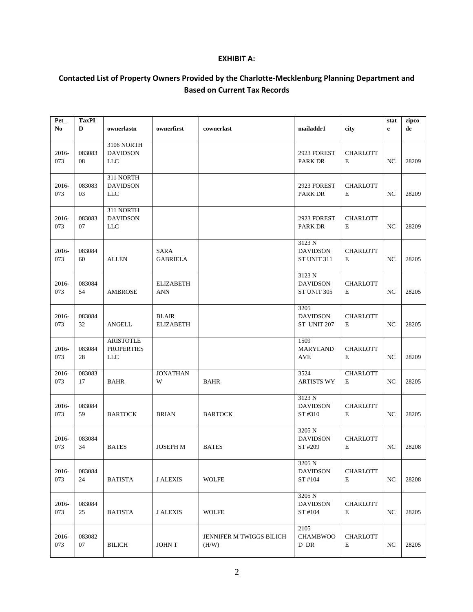## **EXHIBIT A:**

# **Contacted List of Property Owners Provided by the Charlotte-Mecklenburg Planning Department and Based on Current Tax Records**

| Pet_<br>$\bf No$ | <b>TaxPI</b><br>D | ownerlastn                                          | ownerfirst                       | cownerlast                        | mailaddr1                                | city                 | stat<br>$\mathbf e$ | zipco<br>de |
|------------------|-------------------|-----------------------------------------------------|----------------------------------|-----------------------------------|------------------------------------------|----------------------|---------------------|-------------|
| 2016-<br>073     | 083083<br>08      | 3106 NORTH<br><b>DAVIDSON</b><br>LLC                |                                  |                                   | 2923 FOREST<br>PARK DR                   | <b>CHARLOTT</b><br>E | $_{\mathrm{NC}}$    | 28209       |
| 2016-<br>073     | 083083<br>03      | 311 NORTH<br><b>DAVIDSON</b><br><b>LLC</b>          |                                  |                                   | 2923 FOREST<br>PARK DR                   | <b>CHARLOTT</b><br>E | NC                  | 28209       |
| 2016-<br>073     | 083083<br>07      | 311 NORTH<br><b>DAVIDSON</b><br>LLC                 |                                  |                                   | 2923 FOREST<br>PARK DR                   | <b>CHARLOTT</b><br>E | NC                  | 28209       |
| 2016-<br>073     | 083084<br>60      | <b>ALLEN</b>                                        | SARA<br><b>GABRIELA</b>          |                                   | 3123 N<br><b>DAVIDSON</b><br>ST UNIT 311 | <b>CHARLOTT</b><br>E | NC                  | 28205       |
| 2016-<br>073     | 083084<br>54      | <b>AMBROSE</b>                                      | <b>ELIZABETH</b><br><b>ANN</b>   |                                   | 3123 N<br><b>DAVIDSON</b><br>ST UNIT 305 | <b>CHARLOTT</b><br>E | NC                  | 28205       |
| 2016-<br>073     | 083084<br>32      | ANGELL                                              | <b>BLAIR</b><br><b>ELIZABETH</b> |                                   | 3205<br><b>DAVIDSON</b><br>ST UNIT 207   | <b>CHARLOTT</b><br>E | NC                  | 28205       |
| 2016-<br>073     | 083084<br>28      | <b>ARISTOTLE</b><br><b>PROPERTIES</b><br><b>LLC</b> |                                  |                                   | 1509<br><b>MARYLAND</b><br><b>AVE</b>    | <b>CHARLOTT</b><br>E | NC                  | 28209       |
| 2016-<br>073     | 083083<br>17      | <b>BAHR</b>                                         | <b>JONATHAN</b><br>W             | <b>BAHR</b>                       | 3524<br><b>ARTISTS WY</b>                | <b>CHARLOTT</b><br>E | $_{\mathrm{NC}}$    | 28205       |
| 2016-<br>073     | 083084<br>59      | <b>BARTOCK</b>                                      | <b>BRIAN</b>                     | <b>BARTOCK</b>                    | 3123 N<br><b>DAVIDSON</b><br>ST #310     | <b>CHARLOTT</b><br>E | NC                  | 28205       |
| 2016-<br>073     | 083084<br>34      | <b>BATES</b>                                        | <b>JOSEPH M</b>                  | <b>BATES</b>                      | 3205 N<br><b>DAVIDSON</b><br>ST #209     | <b>CHARLOTT</b><br>E | NC                  | 28208       |
| 2016-<br>073     | 083084<br>24      | <b>BATISTA</b>                                      | <b>J ALEXIS</b>                  | <b>WOLFE</b>                      | 3205 N<br><b>DAVIDSON</b><br>ST #104     | <b>CHARLOTT</b><br>E | NC                  | 28208       |
| 2016-<br>073     | 083084<br>25      | <b>BATISTA</b>                                      | <b>J ALEXIS</b>                  | <b>WOLFE</b>                      | 3205 N<br><b>DAVIDSON</b><br>ST #104     | <b>CHARLOTT</b><br>E | NC                  | 28205       |
| 2016-<br>073     | 083082<br>07      | <b>BILICH</b>                                       | <b>JOHNT</b>                     | JENNIFER M TWIGGS BILICH<br>(H/W) | 2105<br><b>CHAMBWOO</b><br>D DR          | <b>CHARLOTT</b><br>E | $_{\mathrm{NC}}$    | 28205       |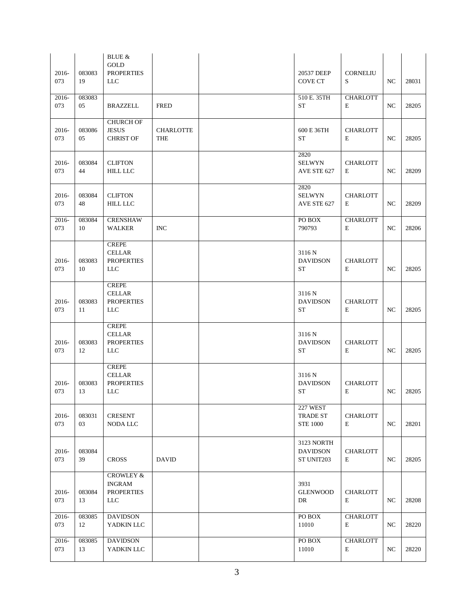| 2016-<br>073    | 083083<br>19 | <b>BLUE &amp;</b><br>GOLD<br><b>PROPERTIES</b><br><b>LLC</b>             |                         | 20537 DEEP<br><b>COVE CT</b>                | <b>CORNELIU</b><br>S           | NC  | 28031    |
|-----------------|--------------|--------------------------------------------------------------------------|-------------------------|---------------------------------------------|--------------------------------|-----|----------|
| $2016 -$<br>073 | 083083<br>05 | BRAZZELL                                                                 | <b>FRED</b>             | 510 E. 35TH<br><b>ST</b>                    | <b>CHARLOTT</b><br>E           | NC  | 28205    |
| $2016 -$<br>073 | 083086<br>05 | <b>CHURCH OF</b><br><b>JESUS</b><br><b>CHRIST OF</b>                     | <b>CHARLOTTE</b><br>THE | 600 E 36TH<br><b>ST</b>                     | <b>CHARLOTT</b><br>E           | NC. | 28205    |
| 2016-<br>073    | 083084<br>44 | <b>CLIFTON</b><br><b>HILL LLC</b>                                        |                         | 2820<br><b>SELWYN</b><br>AVE STE 627        | <b>CHARLOTT</b><br>E           | NC  | 28209    |
| 2016-<br>073    | 083084<br>48 | <b>CLIFTON</b><br><b>HILL LLC</b>                                        |                         | 2820<br><b>SELWYN</b><br>AVE STE 627        | <b>CHARLOTT</b><br>E           | NC  | 28209    |
| 2016-<br>073    | 083084<br>10 | <b>CRENSHAW</b><br><b>WALKER</b>                                         | <b>INC</b>              | PO BOX<br>790793                            | <b>CHARLOTT</b><br>E           | NC  | 28206    |
| $2016 -$<br>073 | 083083<br>10 | <b>CREPE</b><br><b>CELLAR</b><br><b>PROPERTIES</b><br><b>LLC</b>         |                         | 3116 N<br><b>DAVIDSON</b><br><b>ST</b>      | <b>CHARLOTT</b><br>E           | NC  | 28205    |
| $2016 -$<br>073 | 083083<br>11 | <b>CREPE</b><br><b>CELLAR</b><br><b>PROPERTIES</b><br>LLC                |                         | 3116 N<br><b>DAVIDSON</b><br><b>ST</b>      | <b>CHARLOTT</b><br>E           | NC. | 28205    |
| 2016-<br>073    | 083083<br>12 | <b>CREPE</b><br><b>CELLAR</b><br><b>PROPERTIES</b><br><b>LLC</b>         |                         | 3116 N<br><b>DAVIDSON</b><br><b>ST</b>      | <b>CHARLOTT</b><br>E           | NC  | 28205    |
| 2016-<br>073    | 083083<br>13 | <b>CREPE</b><br><b>CELLAR</b><br><b>PROPERTIES</b><br>LLC                |                         | 3116 N<br><b>DAVIDSON</b><br>ST             | <b>CHARLOTT</b><br>${\bf E}$   |     | NC 28205 |
| 2016-<br>073    | 083031<br>03 | <b>CRESENT</b><br>NODA LLC                                               |                         | 227 WEST<br>TRADE ST<br><b>STE 1000</b>     | <b>CHARLOTT</b><br>E           | NC  | 28201    |
| 2016-<br>073    | 083084<br>39 | <b>CROSS</b>                                                             | <b>DAVID</b>            | 3123 NORTH<br><b>DAVIDSON</b><br>ST UNIT203 | <b>CHARLOTT</b><br>$\mathbf E$ | NC  | 28205    |
| 2016-<br>073    | 083084<br>13 | <b>CROWLEY &amp;</b><br><b>INGRAM</b><br><b>PROPERTIES</b><br><b>LLC</b> |                         | 3931<br><b>GLENWOOD</b><br>DR               | <b>CHARLOTT</b><br>E           | NC. | 28208    |
| 2016-<br>073    | 083085<br>12 | <b>DAVIDSON</b><br>YADKIN LLC                                            |                         | PO BOX<br>11010                             | <b>CHARLOTT</b><br>$\mathbf E$ | NC  | 28220    |
| 2016-<br>073    | 083085<br>13 | <b>DAVIDSON</b><br>YADKIN LLC                                            |                         | PO BOX<br>11010                             | <b>CHARLOTT</b><br>E           | NC  | 28220    |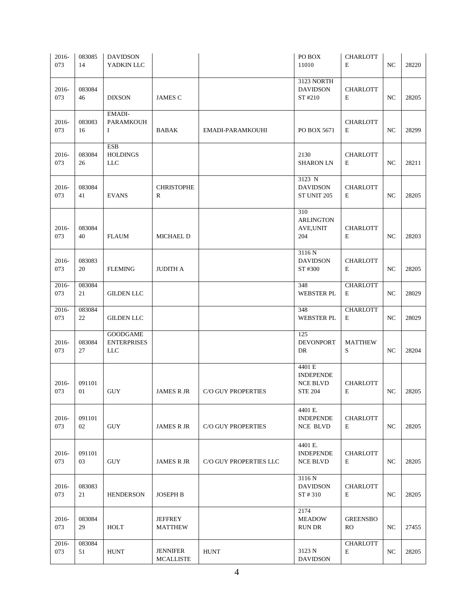| 2016-<br>073 | 083085<br>14 | <b>DAVIDSON</b><br>YADKIN LLC                       |                                     |                           | PO BOX<br>11010                                                 | <b>CHARLOTT</b><br>E         | NC               | 28220 |
|--------------|--------------|-----------------------------------------------------|-------------------------------------|---------------------------|-----------------------------------------------------------------|------------------------------|------------------|-------|
| 2016-<br>073 | 083084<br>46 | <b>DIXSON</b>                                       | <b>JAMES C</b>                      |                           | 3123 NORTH<br><b>DAVIDSON</b><br>ST #210                        | <b>CHARLOTT</b><br>E         | NC               | 28205 |
| 2016-<br>073 | 083083<br>16 | EMADI-<br><b>PARAMKOUH</b><br>I                     | BABAK                               | EMADI-PARAMKOUHI          | PO BOX 5671                                                     | <b>CHARLOTT</b><br>E         | NC               | 28299 |
| 2016-<br>073 | 083084<br>26 | <b>ESB</b><br><b>HOLDINGS</b><br><b>LLC</b>         |                                     |                           | 2130<br><b>SHARON LN</b>                                        | <b>CHARLOTT</b><br>E         | NC               | 28211 |
| 2016-<br>073 | 083084<br>41 | <b>EVANS</b>                                        | <b>CHRISTOPHE</b><br>R              |                           | 3123 N<br><b>DAVIDSON</b><br>ST UNIT 205                        | <b>CHARLOTT</b><br>E         | NC               | 28205 |
| 2016-<br>073 | 083084<br>40 | <b>FLAUM</b>                                        | <b>MICHAEL D</b>                    |                           | 310<br><b>ARLINGTON</b><br>AVE, UNIT<br>204                     | <b>CHARLOTT</b><br>E         | NC               | 28203 |
| 2016-<br>073 | 083083<br>20 | <b>FLEMING</b>                                      | <b>JUDITH A</b>                     |                           | 3116 N<br><b>DAVIDSON</b><br>ST #300                            | <b>CHARLOTT</b><br>E         | NC               | 28205 |
| 2016-<br>073 | 083084<br>21 | <b>GILDEN LLC</b>                                   |                                     |                           | 348<br><b>WEBSTER PL</b>                                        | <b>CHARLOTT</b><br>E         | NC               | 28029 |
| 2016-<br>073 | 083084<br>22 | <b>GILDEN LLC</b>                                   |                                     |                           | 348<br><b>WEBSTER PL</b>                                        | <b>CHARLOTT</b><br>E         | NC               | 28029 |
| 2016-<br>073 | 083084<br>27 | <b>GOODGAME</b><br><b>ENTERPRISES</b><br><b>LLC</b> |                                     |                           | 125<br><b>DEVONPORT</b><br>DR                                   | <b>MATTHEW</b><br>S          | NC               | 28204 |
| 2016-<br>073 | 091101<br>01 | <b>GUY</b>                                          | <b>JAMES R JR</b>                   | C/O GUY PROPERTIES        | 4401 E<br><b>INDEPENDE</b><br><b>NCE BLVD</b><br><b>STE 204</b> | <b>CHARLOTT</b><br>E         | $_{\mathrm{NC}}$ | 28205 |
| 2016-<br>073 | 091101<br>02 | <b>GUY</b>                                          | <b>JAMES R JR</b>                   | <b>C/O GUY PROPERTIES</b> | 4401 E.<br><b>INDEPENDE</b><br><b>NCE BLVD</b>                  | <b>CHARLOTT</b><br>E         | NC               | 28205 |
| 2016-<br>073 | 091101<br>03 | <b>GUY</b>                                          | <b>JAMES R JR</b>                   | C/O GUY PROPERTIES LLC    | 4401 E.<br><b>INDEPENDE</b><br><b>NCE BLVD</b>                  | <b>CHARLOTT</b><br>E         | $_{\mathrm{NC}}$ | 28205 |
| 2016-<br>073 | 083083<br>21 | <b>HENDERSON</b>                                    | <b>JOSEPH B</b>                     |                           | 3116 N<br><b>DAVIDSON</b><br>ST#310                             | <b>CHARLOTT</b><br>E         | NC               | 28205 |
| 2016-<br>073 | 083084<br>29 | HOLT                                                | <b>JEFFREY</b><br><b>MATTHEW</b>    |                           | 2174<br><b>MEADOW</b><br><b>RUN DR</b>                          | <b>GREENSBO</b><br><b>RO</b> | NC               | 27455 |
| 2016-<br>073 | 083084<br>51 | <b>HUNT</b>                                         | <b>JENNIFER</b><br><b>MCALLISTE</b> | <b>HUNT</b>               | 3123 N<br><b>DAVIDSON</b>                                       | <b>CHARLOTT</b><br>E         | NC               | 28205 |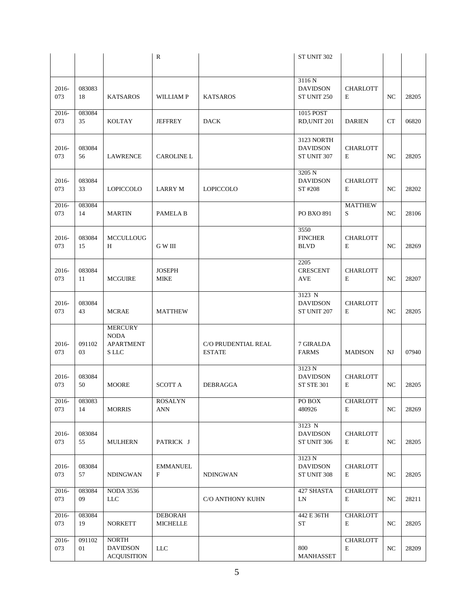|              |              |                                 | ${\bf R}$                    |                     | ST UNIT 302                   |                      |                  |       |
|--------------|--------------|---------------------------------|------------------------------|---------------------|-------------------------------|----------------------|------------------|-------|
|              |              |                                 |                              |                     |                               |                      |                  |       |
| 2016-        | 083083       |                                 |                              |                     | 3116 N<br><b>DAVIDSON</b>     | <b>CHARLOTT</b>      |                  |       |
| 073          | 18           | <b>KATSAROS</b>                 | <b>WILLIAMP</b>              | <b>KATSAROS</b>     | ST UNIT 250                   | E                    | NC               | 28205 |
| 2016-        | 083084       |                                 |                              |                     | 1015 POST                     |                      |                  |       |
| 073          | 35           | KOLTAY                          | <b>JEFFREY</b>               | <b>DACK</b>         | RD, UNIT 201                  | <b>DARIEN</b>        | <b>CT</b>        | 06820 |
|              |              |                                 |                              |                     | 3123 NORTH                    |                      |                  |       |
| 2016-        | 083084       |                                 |                              |                     | <b>DAVIDSON</b>               | <b>CHARLOTT</b>      |                  |       |
| 073          | 56           | <b>LAWRENCE</b>                 | <b>CAROLINE L</b>            |                     | ST UNIT 307                   | E                    | NC               | 28205 |
|              |              |                                 |                              |                     | 3205 N                        |                      |                  |       |
| 2016-<br>073 | 083084<br>33 | LOPICCOLO                       | LARRY M                      | LOPICCOLO           | <b>DAVIDSON</b><br>ST #208    | <b>CHARLOTT</b><br>E | NC               | 28202 |
|              |              |                                 |                              |                     |                               |                      |                  |       |
| 2016-        | 083084       |                                 |                              |                     |                               | <b>MATTHEW</b>       |                  |       |
| 073          | 14           | <b>MARTIN</b>                   | PAMELA B                     |                     | PO BXO 891                    | S                    | NC               | 28106 |
|              |              |                                 |                              |                     | 3550                          |                      |                  |       |
| 2016-        | 083084       | <b>MCCULLOUG</b>                |                              |                     | <b>FINCHER</b>                | <b>CHARLOTT</b>      |                  |       |
| 073          | 15           | Н                               | G W III                      |                     | <b>BLVD</b>                   | E                    | NC               | 28269 |
|              |              |                                 |                              |                     | 2205                          |                      |                  |       |
| 2016-<br>073 | 083084<br>11 | <b>MCGUIRE</b>                  | <b>JOSEPH</b><br><b>MIKE</b> |                     | <b>CRESCENT</b><br><b>AVE</b> | <b>CHARLOTT</b><br>E | NC               | 28207 |
|              |              |                                 |                              |                     |                               |                      |                  |       |
|              |              |                                 |                              |                     | 3123 N                        |                      |                  |       |
| 2016-        | 083084       |                                 |                              |                     | <b>DAVIDSON</b>               | <b>CHARLOTT</b><br>E |                  |       |
| 073          | 43           | <b>MCRAE</b>                    | <b>MATTHEW</b>               |                     | ST UNIT 207                   |                      | NC               | 28205 |
|              |              | <b>MERCURY</b>                  |                              |                     |                               |                      |                  |       |
| 2016-        | 091102       | <b>NODA</b><br><b>APARTMENT</b> |                              | C/O PRUDENTIAL REAL | 7 GIRALDA                     |                      |                  |       |
| 073          | 03           | S LLC                           |                              | <b>ESTATE</b>       | <b>FARMS</b>                  | <b>MADISON</b>       | NJ               | 07940 |
|              |              |                                 |                              |                     |                               |                      |                  |       |
| 2016-        | 083084       |                                 |                              |                     | 3123 N<br><b>DAVIDSON</b>     | <b>CHARLOTT</b>      |                  |       |
| 073          | 50           | <b>MOORE</b>                    | <b>SCOTT A</b>               | DEBRAGGA            | <b>ST STE 301</b>             | E                    | NC               | 28205 |
|              |              |                                 |                              |                     |                               |                      |                  |       |
| 2016-<br>073 | 083083<br>14 | <b>MORRIS</b>                   | ROSALYN<br><b>ANN</b>        |                     | PO BOX<br>480926              | <b>CHARLOTT</b><br>E | NC               | 28269 |
|              |              |                                 |                              |                     |                               |                      |                  |       |
| 2016-        | 083084       |                                 |                              |                     | 3123 N<br><b>DAVIDSON</b>     | <b>CHARLOTT</b>      |                  |       |
| 073          | 55           | <b>MULHERN</b>                  | PATRICK J                    |                     | ST UNIT 306                   | E                    | NC               | 28205 |
|              |              |                                 |                              |                     |                               |                      |                  |       |
| 2016-        | 083084       |                                 | <b>EMMANUEL</b>              |                     | 3123 N<br><b>DAVIDSON</b>     | <b>CHARLOTT</b>      |                  |       |
| 073          | 57           | NDINGWAN                        | F                            | <b>NDINGWAN</b>     | ST UNIT 308                   | E                    | NC               | 28205 |
|              |              |                                 |                              |                     |                               |                      |                  |       |
| 2016-<br>073 | 083084<br>09 | <b>NODA 3536</b><br><b>LLC</b>  |                              | C/O ANTHONY KUHN    | 427 SHASTA<br>LN              | <b>CHARLOTT</b><br>E | NC               | 28211 |
|              |              |                                 |                              |                     |                               |                      |                  |       |
| 2016-        | 083084       |                                 | <b>DEBORAH</b>               |                     | 442 E 36TH                    | <b>CHARLOTT</b>      |                  |       |
| 073          | 19           | <b>NORKETT</b>                  | <b>MICHELLE</b>              |                     | ST                            | E                    | NC               | 28205 |
| 2016-        | 091102       | <b>NORTH</b>                    |                              |                     |                               | <b>CHARLOTT</b>      |                  |       |
| 073          | 01           | <b>DAVIDSON</b>                 | <b>LLC</b>                   |                     | 800                           | E                    | $_{\mathrm{NC}}$ | 28209 |
|              |              | <b>ACQUISITION</b>              |                              |                     | MANHASSET                     |                      |                  |       |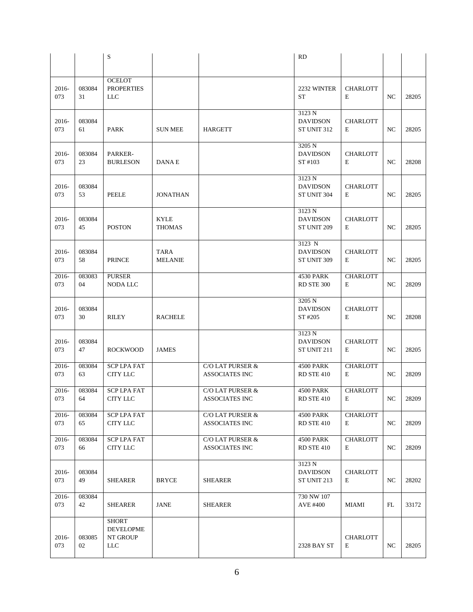|              |              | S                                                   |                               |                                           | <b>RD</b>                                |                      |    |       |
|--------------|--------------|-----------------------------------------------------|-------------------------------|-------------------------------------------|------------------------------------------|----------------------|----|-------|
|              |              |                                                     |                               |                                           |                                          |                      |    |       |
| 2016-<br>073 | 083084<br>31 | <b>OCELOT</b><br><b>PROPERTIES</b><br><b>LLC</b>    |                               |                                           | 2232 WINTER<br><b>ST</b>                 | <b>CHARLOTT</b><br>E | NC | 28205 |
| 2016-<br>073 | 083084<br>61 | PARK                                                | <b>SUN MEE</b>                | <b>HARGETT</b>                            | 3123 N<br><b>DAVIDSON</b><br>ST UNIT 312 | <b>CHARLOTT</b><br>E | NC | 28205 |
| 2016-<br>073 | 083084<br>23 | PARKER-<br><b>BURLESON</b>                          | DANA E                        |                                           | 3205 N<br><b>DAVIDSON</b><br>ST #103     | <b>CHARLOTT</b><br>E | NC | 28208 |
| 2016-<br>073 | 083084<br>53 | PEELE                                               | <b>JONATHAN</b>               |                                           | 3123 N<br><b>DAVIDSON</b><br>ST UNIT 304 | <b>CHARLOTT</b><br>E | NC | 28205 |
| 2016-<br>073 | 083084<br>45 | <b>POSTON</b>                                       | <b>KYLE</b><br><b>THOMAS</b>  |                                           | 3123 N<br><b>DAVIDSON</b><br>ST UNIT 209 | <b>CHARLOTT</b><br>E | NC | 28205 |
| 2016-<br>073 | 083084<br>58 | <b>PRINCE</b>                                       | <b>TARA</b><br><b>MELANIE</b> |                                           | 3123 N<br><b>DAVIDSON</b><br>ST UNIT 309 | <b>CHARLOTT</b><br>E | NC | 28205 |
| 2016-<br>073 | 083083<br>04 | <b>PURSER</b><br><b>NODA LLC</b>                    |                               |                                           | <b>4530 PARK</b><br>RD STE 300           | <b>CHARLOTT</b><br>E | NC | 28209 |
| 2016-<br>073 | 083084<br>30 | RILEY                                               | <b>RACHELE</b>                |                                           | 3205 N<br><b>DAVIDSON</b><br>ST #205     | <b>CHARLOTT</b><br>E | NC | 28208 |
| 2016-<br>073 | 083084<br>47 | <b>ROCKWOOD</b>                                     | <b>JAMES</b>                  |                                           | 3123 N<br><b>DAVIDSON</b><br>ST UNIT 211 | <b>CHARLOTT</b><br>E | NC | 28205 |
| 2016-<br>073 | 083084<br>63 | <b>SCP LPA FAT</b><br>CITY LLC                      |                               | C/O LAT PURSER &<br><b>ASSOCIATES INC</b> | 4500 PARK<br>RD STE 410                  | <b>CHARLOTT</b><br>E | NC | 28209 |
| 2016-<br>073 | 083084<br>64 | <b>SCP LPA FAT</b><br>CITY LLC                      |                               | C/O LAT PURSER &<br>ASSOCIATES INC        | 4500 PARK<br>RD STE 410                  | <b>CHARLOTT</b><br>E | NC | 28209 |
| 2016-<br>073 | 083084<br>65 | <b>SCP LPA FAT</b><br><b>CITY LLC</b>               |                               | C/O LAT PURSER &<br>ASSOCIATES INC        | <b>4500 PARK</b><br>RD STE 410           | <b>CHARLOTT</b><br>Е | NC | 28209 |
| 2016-<br>073 | 083084<br>66 | <b>SCP LPA FAT</b><br><b>CITY LLC</b>               |                               | C/O LAT PURSER $\&$<br>ASSOCIATES INC     | <b>4500 PARK</b><br>RD STE 410           | <b>CHARLOTT</b><br>E | NC | 28209 |
| 2016-<br>073 | 083084<br>49 | SHEARER                                             | <b>BRYCE</b>                  | <b>SHEARER</b>                            | 3123 N<br><b>DAVIDSON</b><br>ST UNIT 213 | <b>CHARLOTT</b><br>E | NC | 28202 |
| 2016-<br>073 | 083084<br>42 | SHEARER                                             | <b>JANE</b>                   | <b>SHEARER</b>                            | 730 NW 107<br>AVE #400                   | <b>MIAMI</b>         | FL | 33172 |
| 2016-<br>073 | 083085<br>02 | <b>SHORT</b><br><b>DEVELOPME</b><br>NT GROUP<br>LLC |                               |                                           | 2328 BAY ST                              | <b>CHARLOTT</b><br>Е | NC | 28205 |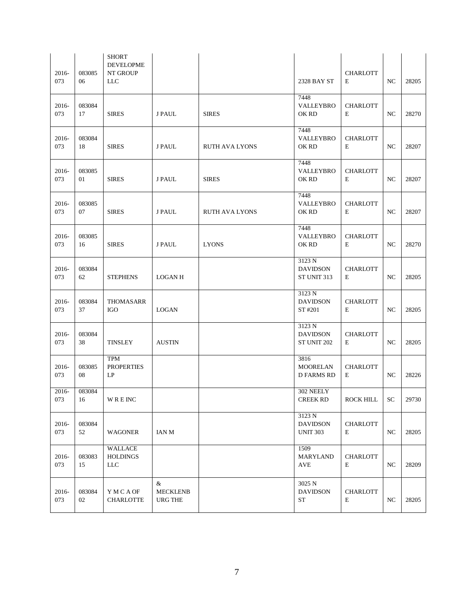| 2016-<br>073 | 083085<br>06 | <b>SHORT</b><br><b>DEVELOPME</b><br>NT GROUP<br><b>LLC</b> |                                        |                       | 2328 BAY ST                                  | <b>CHARLOTT</b><br>E | NC               | 28205 |
|--------------|--------------|------------------------------------------------------------|----------------------------------------|-----------------------|----------------------------------------------|----------------------|------------------|-------|
| 2016-<br>073 | 083084<br>17 | <b>SIRES</b>                                               | <b>J PAUL</b>                          | <b>SIRES</b>          | 7448<br>VALLEYBRO<br>OK RD                   | <b>CHARLOTT</b><br>E | NC               | 28270 |
| 2016-<br>073 | 083084<br>18 | <b>SIRES</b>                                               | J PAUL                                 | <b>RUTH AVA LYONS</b> | 7448<br><b>VALLEYBRO</b><br>OK RD            | <b>CHARLOTT</b><br>E | NC               | 28207 |
| 2016-<br>073 | 083085<br>01 | <b>SIRES</b>                                               | <b>J PAUL</b>                          | <b>SIRES</b>          | 7448<br>VALLEYBRO<br>OK RD                   | <b>CHARLOTT</b><br>E | NC               | 28207 |
| 2016-<br>073 | 083085<br>07 | <b>SIRES</b>                                               | J PAUL                                 | <b>RUTH AVA LYONS</b> | 7448<br><b>VALLEYBRO</b><br>OK RD            | <b>CHARLOTT</b><br>E | NC               | 28207 |
| 2016-<br>073 | 083085<br>16 | <b>SIRES</b>                                               | <b>J PAUL</b>                          | <b>LYONS</b>          | 7448<br><b>VALLEYBRO</b><br>OK RD            | <b>CHARLOTT</b><br>E | NC               | 28270 |
| 2016-<br>073 | 083084<br>62 | <b>STEPHENS</b>                                            | <b>LOGAN H</b>                         |                       | 3123 N<br><b>DAVIDSON</b><br>ST UNIT 313     | <b>CHARLOTT</b><br>E | NC               | 28205 |
| 2016-<br>073 | 083084<br>37 | THOMASARR<br><b>IGO</b>                                    | LOGAN                                  |                       | 3123 N<br><b>DAVIDSON</b><br>ST #201         | <b>CHARLOTT</b><br>E | NC               | 28205 |
| 2016-<br>073 | 083084<br>38 | TINSLEY                                                    | <b>AUSTIN</b>                          |                       | 3123 N<br><b>DAVIDSON</b><br>ST UNIT 202     | <b>CHARLOTT</b><br>E | NC               | 28205 |
| 2016-<br>073 | 083085<br>08 | TPM<br><b>PROPERTIES</b><br>LP                             |                                        |                       | 3816<br><b>MOORELAN</b><br><b>D FARMS RD</b> | <b>CHARLOTT</b><br>E | NC               | 28226 |
| 2016-<br>073 | 083084<br>16 | <b>WREINC</b>                                              |                                        |                       | 302 NEELY<br><b>CREEK RD</b>                 | <b>ROCK HILL</b>     | SC               | 29730 |
| 2016-<br>073 | 083084<br>52 | <b>WAGONER</b>                                             | IAN M                                  |                       | 3123 N<br><b>DAVIDSON</b><br><b>UNIT 303</b> | <b>CHARLOTT</b><br>Е | NC               | 28205 |
| 2016-<br>073 | 083083<br>15 | WALLACE<br><b>HOLDINGS</b><br>$LLC$                        |                                        |                       | 1509<br><b>MARYLAND</b><br><b>AVE</b>        | <b>CHARLOTT</b><br>E | NC               | 28209 |
| 2016-<br>073 | 083084<br>02 | Y M C A OF<br><b>CHARLOTTE</b>                             | &<br><b>MECKLENB</b><br><b>URG THE</b> |                       | 3025 N<br><b>DAVIDSON</b><br><b>ST</b>       | <b>CHARLOTT</b><br>E | $_{\mathrm{NC}}$ | 28205 |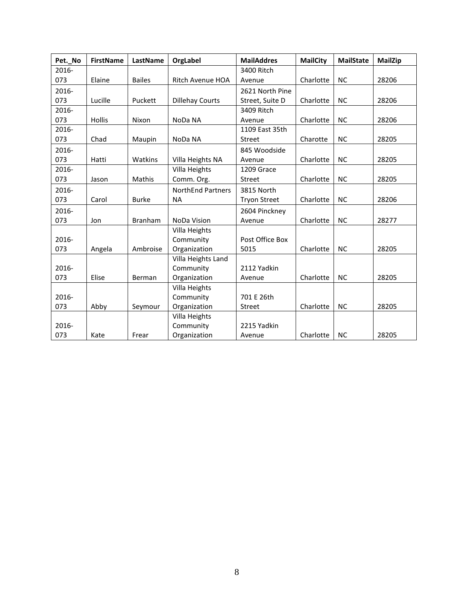| Pet._No | <b>FirstName</b> | LastName      | OrgLabel                 | <b>MailAddres</b>   | <b>MailCity</b> | <b>MailState</b> | <b>MailZip</b> |
|---------|------------------|---------------|--------------------------|---------------------|-----------------|------------------|----------------|
| 2016-   |                  |               |                          | 3400 Ritch          |                 |                  |                |
| 073     | Elaine           | <b>Bailes</b> | <b>Ritch Avenue HOA</b>  | Avenue              | Charlotte       | <b>NC</b>        | 28206          |
| 2016-   |                  |               |                          | 2621 North Pine     |                 |                  |                |
| 073     | Lucille          | Puckett       | <b>Dillehay Courts</b>   | Street, Suite D     | Charlotte       | <b>NC</b>        | 28206          |
| 2016-   |                  |               |                          | 3409 Ritch          |                 |                  |                |
| 073     | Hollis           | Nixon         | NoDa NA                  | Avenue              | Charlotte       | <b>NC</b>        | 28206          |
| 2016-   |                  |               |                          | 1109 East 35th      |                 |                  |                |
| 073     | Chad             | Maupin        | NoDa NA                  | <b>Street</b>       | Charotte        | <b>NC</b>        | 28205          |
| 2016-   |                  |               |                          | 845 Woodside        |                 |                  |                |
| 073     | Hatti            | Watkins       | Villa Heights NA         | Avenue              | Charlotte       | <b>NC</b>        | 28205          |
| 2016-   |                  |               | Villa Heights            | 1209 Grace          |                 |                  |                |
| 073     | Jason            | Mathis        | Comm. Org.               | Street              | Charlotte       | <b>NC</b>        | 28205          |
| 2016-   |                  |               | <b>NorthEnd Partners</b> | 3815 North          |                 |                  |                |
| 073     | Carol            | <b>Burke</b>  | <b>NA</b>                | <b>Tryon Street</b> | Charlotte       | <b>NC</b>        | 28206          |
| 2016-   |                  |               |                          | 2604 Pinckney       |                 |                  |                |
| 073     | Jon              | Branham       | NoDa Vision              | Avenue              | Charlotte       | <b>NC</b>        | 28277          |
|         |                  |               | Villa Heights            |                     |                 |                  |                |
| 2016-   |                  |               | Community                | Post Office Box     |                 |                  |                |
| 073     | Angela           | Ambroise      | Organization             | 5015                | Charlotte       | <b>NC</b>        | 28205          |
|         |                  |               | Villa Heights Land       |                     |                 |                  |                |
| 2016-   |                  |               | Community                | 2112 Yadkin         |                 |                  |                |
| 073     | Elise            | Berman        | Organization             | Avenue              | Charlotte       | <b>NC</b>        | 28205          |
|         |                  |               | Villa Heights            |                     |                 |                  |                |
| 2016-   |                  |               | Community                | 701 E 26th          |                 |                  |                |
| 073     | Abby             | Seymour       | Organization             | Street              | Charlotte       | <b>NC</b>        | 28205          |
|         |                  |               | Villa Heights            |                     |                 |                  |                |
| 2016-   |                  |               | Community                | 2215 Yadkin         |                 |                  |                |
| 073     | Kate             | Frear         | Organization             | Avenue              | Charlotte       | <b>NC</b>        | 28205          |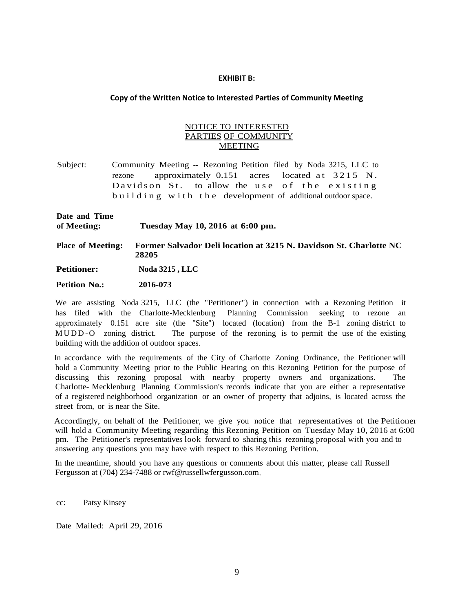#### **EXHIBIT B:**

### **Copy of the Written Notice to Interested Parties of Community Meeting**

### NOTICE TO INTERESTED PARTIES OF COMMUNITY MEETING

- Subject: Community Meeting -- Rezoning Petition filed by Noda 3215, LLC to rezone approximately  $0.151$  acres located at  $3215$  N. Davidson St. to allow the use of the existing building with the development of additional outdoor space.
- **Date and Time of Meeting: Tuesday May 10, 2016 at 6:00 pm.**
- **Place of Meeting: Former Salvador Deli location at 3215 N. Davidson St. Charlotte NC 28205**

**Petitioner: Noda 3215 , LLC**

 **Petition No.: 2016-073**

We are assisting Noda 3215, LLC (the "Petitioner") in connection with a Rezoning Petition it has filed with the Charlotte-Mecklenburg Planning Commission seeking to rezone an approximately 0.151 acre site (the "Site") located (location) from the B-1 zoning district to M UDD - O zoning district. The purpose of the rezoning is to permit the use of the existing building with the addition of outdoor spaces.

In accordance with the requirements of the City of Charlotte Zoning Ordinance, the Petitioner will hold a Community Meeting prior to the Public Hearing on this Rezoning Petition for the purpose of discussing this rezoning proposal with nearby property owners and organizations. The Charlotte- Mecklenburg Planning Commission's records indicate that you are either a representative of a registered neighborhood organization or an owner of property that adjoins, is located across the street from, or is near the Site.

Accordingly, on behalf of the Petitioner, we give you notice that representatives of the Petitioner will hold a Community Meeting regarding this Rezoning Petition on Tuesday May 10, 2016 at 6:00 pm. The Petitioner's representatives look forward to sharing this rezoning proposal with you and to answering any questions you may have with respect to this Rezoning Petition.

In the meantime, should you have any questions or comments about this matter, please call Russell Fergusson at (704) 234-7488 or rwf@russellwfergusson.com.

cc: Patsy Kinsey

Date Mailed: April 29, 2016